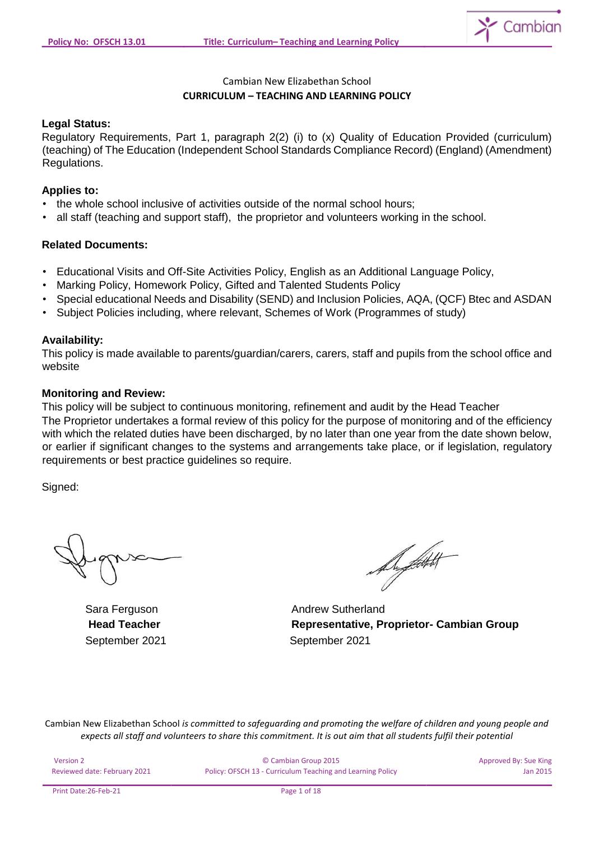

# Cambian New Elizabethan School **CURRICULUM – TEACHING AND LEARNING POLICY**

### **Legal Status:**

Regulatory Requirements, Part 1, paragraph 2(2) (i) to (x) Quality of Education Provided (curriculum) (teaching) of The Education (Independent School Standards Compliance Record) (England) (Amendment) Regulations.

### **Applies to:**

- the whole school inclusive of activities outside of the normal school hours;
- all staff (teaching and support staff), the proprietor and volunteers working in the school.

### **Related Documents:**

- Educational Visits and Off-Site Activities Policy, English as an Additional Language Policy,
- Marking Policy, Homework Policy, Gifted and Talented Students Policy
- Special educational Needs and Disability (SEND) and Inclusion Policies, AQA, (QCF) Btec and ASDAN
- Subject Policies including, where relevant, Schemes of Work (Programmes of study)

#### **Availability:**

This policy is made available to parents/guardian/carers, carers, staff and pupils from the school office and website

#### **Monitoring and Review:**

This policy will be subject to continuous monitoring, refinement and audit by the Head Teacher The Proprietor undertakes a formal review of this policy for the purpose of monitoring and of the efficiency with which the related duties have been discharged, by no later than one year from the date shown below, or earlier if significant changes to the systems and arrangements take place, or if legislation, regulatory requirements or best practice guidelines so require.

Signed:

De fittelt

Sara Ferguson **Andrew Sutherland Head Teacher Representative, Proprietor- Cambian Group** September 2021 September 2021

| Version 2                    | © Cambian Group 2015                                       | Approved By: Sue King |
|------------------------------|------------------------------------------------------------|-----------------------|
| Reviewed date: February 2021 | Policy: OFSCH 13 - Curriculum Teaching and Learning Policy | Jan 2015              |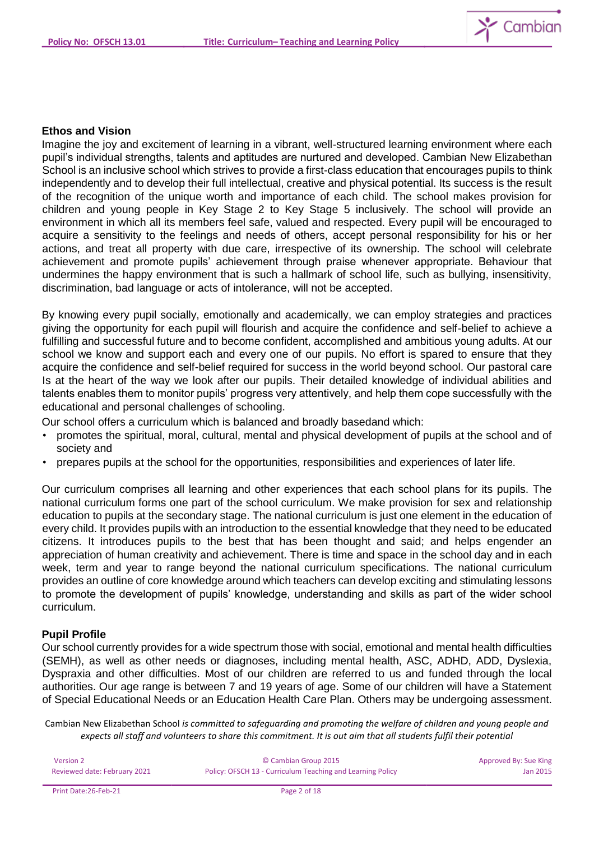

#### **Ethos and Vision**

Imagine the joy and excitement of learning in a vibrant, well-structured learning environment where each pupil's individual strengths, talents and aptitudes are nurtured and developed. Cambian New Elizabethan School is an inclusive school which strives to provide a first-class education that encourages pupils to think independently and to develop their full intellectual, creative and physical potential. Its success is the result of the recognition of the unique worth and importance of each child. The school makes provision for children and young people in Key Stage 2 to Key Stage 5 inclusively. The school will provide an environment in which all its members feel safe, valued and respected. Every pupil will be encouraged to acquire a sensitivity to the feelings and needs of others, accept personal responsibility for his or her actions, and treat all property with due care, irrespective of its ownership. The school will celebrate achievement and promote pupils' achievement through praise whenever appropriate. Behaviour that undermines the happy environment that is such a hallmark of school life, such as bullying, insensitivity, discrimination, bad language or acts of intolerance, will not be accepted.

By knowing every pupil socially, emotionally and academically, we can employ strategies and practices giving the opportunity for each pupil will flourish and acquire the confidence and self-belief to achieve a fulfilling and successful future and to become confident, accomplished and ambitious young adults. At our school we know and support each and every one of our pupils. No effort is spared to ensure that they acquire the confidence and self-belief required for success in the world beyond school. Our pastoral care Is at the heart of the way we look after our pupils. Their detailed knowledge of individual abilities and talents enables them to monitor pupils' progress very attentively, and help them cope successfully with the educational and personal challenges of schooling.

Our school offers a curriculum which is balanced and broadly basedand which:

- promotes the spiritual, moral, cultural, mental and physical development of pupils at the school and of society and
- prepares pupils at the school for the opportunities, responsibilities and experiences of later life.

Our curriculum comprises all learning and other experiences that each school plans for its pupils. The national curriculum forms one part of the school curriculum. We make provision for sex and relationship education to pupils at the secondary stage. The national curriculum is just one element in the education of every child. It provides pupils with an introduction to the essential knowledge that they need to be educated citizens. It introduces pupils to the best that has been thought and said; and helps engender an appreciation of human creativity and achievement. There is time and space in the school day and in each week, term and year to range beyond the national curriculum specifications. The national curriculum provides an outline of core knowledge around which teachers can develop exciting and stimulating lessons to promote the development of pupils' knowledge, understanding and skills as part of the wider school curriculum.

### **Pupil Profile**

Our school currently provides for a wide spectrum those with social, emotional and mental health difficulties (SEMH), as well as other needs or diagnoses, including mental health, ASC, ADHD, ADD, Dyslexia, Dyspraxia and other difficulties. Most of our children are referred to us and funded through the local authorities. Our age range is between 7 and 19 years of age. Some of our children will have a Statement of Special Educational Needs or an Education Health Care Plan. Others may be undergoing assessment.

| Version 2                    | © Cambian Group 2015                                       | Approved By: Sue King |
|------------------------------|------------------------------------------------------------|-----------------------|
| Reviewed date: February 2021 | Policy: OFSCH 13 - Curriculum Teaching and Learning Policy | Jan 2015              |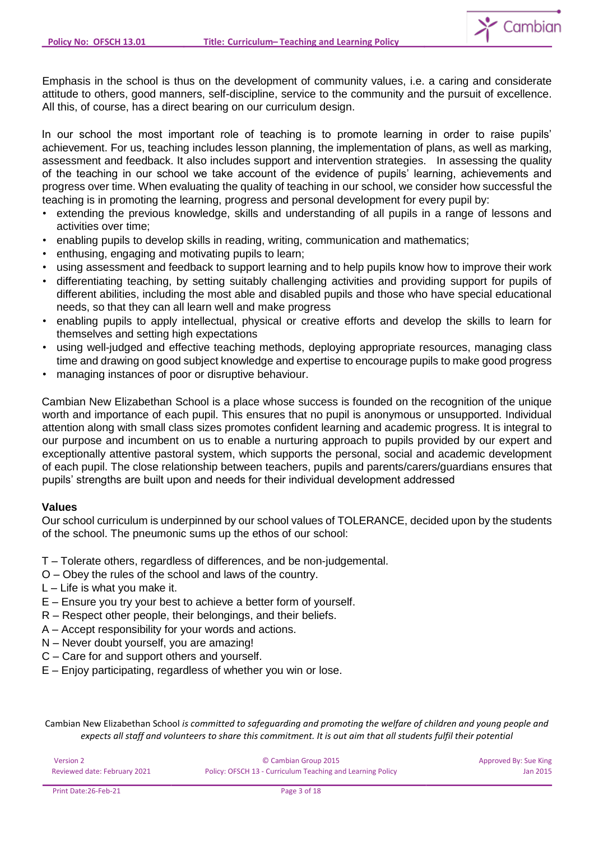

Emphasis in the school is thus on the development of community values, i.e. a caring and considerate attitude to others, good manners, self-discipline, service to the community and the pursuit of excellence. All this, of course, has a direct bearing on our curriculum design.

In our school the most important role of teaching is to promote learning in order to raise pupils' achievement. For us, teaching includes lesson planning, the implementation of plans, as well as marking, assessment and feedback. It also includes support and intervention strategies. In assessing the quality of the teaching in our school we take account of the evidence of pupils' learning, achievements and progress over time. When evaluating the quality of teaching in our school, we consider how successful the teaching is in promoting the learning, progress and personal development for every pupil by:

- extending the previous knowledge, skills and understanding of all pupils in a range of lessons and activities over time;
- enabling pupils to develop skills in reading, writing, communication and mathematics;
- enthusing, engaging and motivating pupils to learn;
- using assessment and feedback to support learning and to help pupils know how to improve their work
- differentiating teaching, by setting suitably challenging activities and providing support for pupils of different abilities, including the most able and disabled pupils and those who have special educational needs, so that they can all learn well and make progress
- enabling pupils to apply intellectual, physical or creative efforts and develop the skills to learn for themselves and setting high expectations
- using well-judged and effective teaching methods, deploying appropriate resources, managing class time and drawing on good subject knowledge and expertise to encourage pupils to make good progress
- managing instances of poor or disruptive behaviour.

Cambian New Elizabethan School is a place whose success is founded on the recognition of the unique worth and importance of each pupil. This ensures that no pupil is anonymous or unsupported. Individual attention along with small class sizes promotes confident learning and academic progress. It is integral to our purpose and incumbent on us to enable a nurturing approach to pupils provided by our expert and exceptionally attentive pastoral system, which supports the personal, social and academic development of each pupil. The close relationship between teachers, pupils and parents/carers/guardians ensures that pupils' strengths are built upon and needs for their individual development addressed

### **Values**

Our school curriculum is underpinned by our school values of TOLERANCE, decided upon by the students of the school. The pneumonic sums up the ethos of our school:

- T Tolerate others, regardless of differences, and be non-judgemental.
- O Obey the rules of the school and laws of the country.
- $L$  Life is what you make it.
- E Ensure you try your best to achieve a better form of yourself.
- R Respect other people, their belongings, and their beliefs.
- A Accept responsibility for your words and actions.
- N Never doubt yourself, you are amazing!
- C Care for and support others and yourself.
- E Enjoy participating, regardless of whether you win or lose.

| Version 2                    | © Cambian Group 2015                                       | Approved By: Sue King |
|------------------------------|------------------------------------------------------------|-----------------------|
| Reviewed date: February 2021 | Policy: OFSCH 13 - Curriculum Teaching and Learning Policy | Jan 2015              |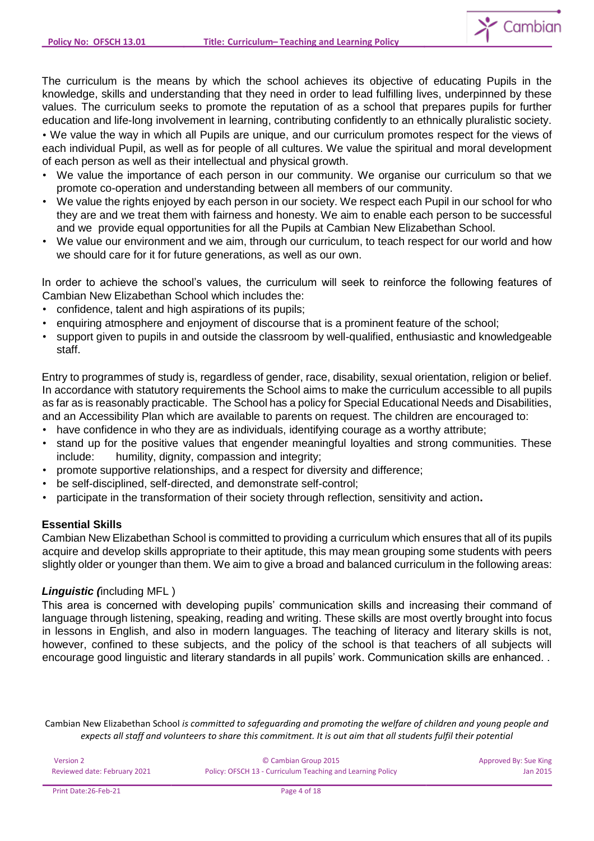

The curriculum is the means by which the school achieves its objective of educating Pupils in the knowledge, skills and understanding that they need in order to lead fulfilling lives, underpinned by these values. The curriculum seeks to promote the reputation of as a school that prepares pupils for further education and life-long involvement in learning, contributing confidently to an ethnically pluralistic society.

• We value the way in which all Pupils are unique, and our curriculum promotes respect for the views of each individual Pupil, as well as for people of all cultures. We value the spiritual and moral development of each person as well as their intellectual and physical growth.

- We value the importance of each person in our community. We organise our curriculum so that we promote co-operation and understanding between all members of our community.
- We value the rights enjoyed by each person in our society. We respect each Pupil in our school for who they are and we treat them with fairness and honesty. We aim to enable each person to be successful and we provide equal opportunities for all the Pupils at Cambian New Elizabethan School.
- We value our environment and we aim, through our curriculum, to teach respect for our world and how we should care for it for future generations, as well as our own.

In order to achieve the school's values, the curriculum will seek to reinforce the following features of Cambian New Elizabethan School which includes the:

- confidence, talent and high aspirations of its pupils;
- enquiring atmosphere and enjoyment of discourse that is a prominent feature of the school;
- support given to pupils in and outside the classroom by well-qualified, enthusiastic and knowledgeable staff.

Entry to programmes of study is, regardless of gender, race, disability, sexual orientation, religion or belief. In accordance with statutory requirements the School aims to make the curriculum accessible to all pupils as far as is reasonably practicable. The School has a policy for Special Educational Needs and Disabilities, and an Accessibility Plan which are available to parents on request. The children are encouraged to:

- have confidence in who they are as individuals, identifying courage as a worthy attribute;
- stand up for the positive values that engender meaningful loyalties and strong communities. These include: humility, dignity, compassion and integrity;
- promote supportive relationships, and a respect for diversity and difference;
- be self-disciplined, self-directed, and demonstrate self-control;
- participate in the transformation of their society through reflection, sensitivity and action**.**

# **Essential Skills**

Cambian New Elizabethan School is committed to providing a curriculum which ensures that all of its pupils acquire and develop skills appropriate to their aptitude, this may mean grouping some students with peers slightly older or younger than them. We aim to give a broad and balanced curriculum in the following areas:

# *Linguistic (*including MFL )

This area is concerned with developing pupils' communication skills and increasing their command of language through listening, speaking, reading and writing. These skills are most overtly brought into focus in lessons in English, and also in modern languages. The teaching of literacy and literary skills is not, however, confined to these subjects, and the policy of the school is that teachers of all subjects will encourage good linguistic and literary standards in all pupils' work. Communication skills are enhanced. .

| Version 2                    | © Cambian Group 2015                                       | Approved By: Sue King |
|------------------------------|------------------------------------------------------------|-----------------------|
| Reviewed date: February 2021 | Policy: OFSCH 13 - Curriculum Teaching and Learning Policy | Jan 2015              |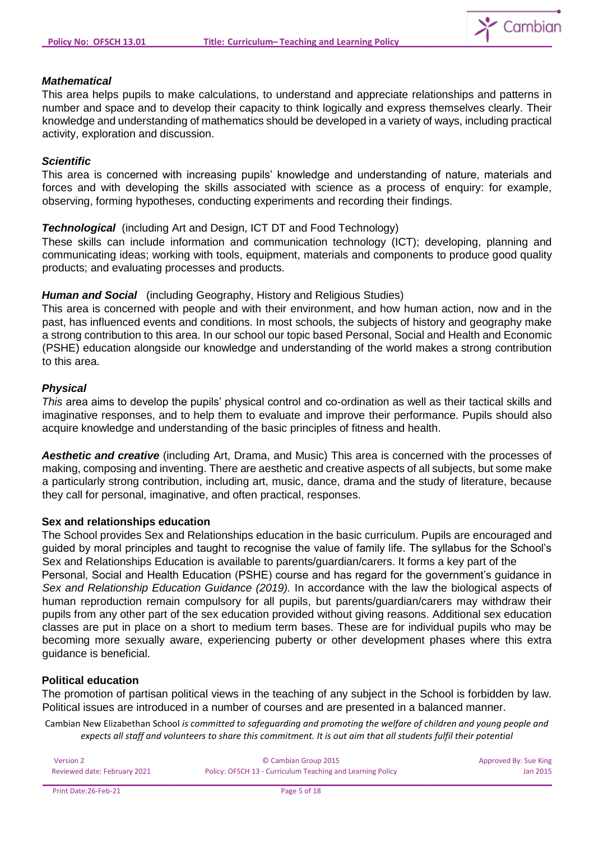

### *Mathematical*

This area helps pupils to make calculations, to understand and appreciate relationships and patterns in number and space and to develop their capacity to think logically and express themselves clearly. Their knowledge and understanding of mathematics should be developed in a variety of ways, including practical activity, exploration and discussion.

### *Scientific*

This area is concerned with increasing pupils' knowledge and understanding of nature, materials and forces and with developing the skills associated with science as a process of enquiry: for example, observing, forming hypotheses, conducting experiments and recording their findings.

*Technological* (including Art and Design, ICT DT and Food Technology)

These skills can include information and communication technology (ICT); developing, planning and communicating ideas; working with tools, equipment, materials and components to produce good quality products; and evaluating processes and products.

### *Human and Social* (including Geography, History and Religious Studies)

This area is concerned with people and with their environment, and how human action, now and in the past, has influenced events and conditions. In most schools, the subjects of history and geography make a strong contribution to this area. In our school our topic based Personal, Social and Health and Economic (PSHE) education alongside our knowledge and understanding of the world makes a strong contribution to this area.

### *Physical*

*This* area aims to develop the pupils' physical control and co-ordination as well as their tactical skills and imaginative responses, and to help them to evaluate and improve their performance. Pupils should also acquire knowledge and understanding of the basic principles of fitness and health.

*Aesthetic and creative* (including Art, Drama, and Music) This area is concerned with the processes of making, composing and inventing. There are aesthetic and creative aspects of all subjects, but some make a particularly strong contribution, including art, music, dance, drama and the study of literature, because they call for personal, imaginative, and often practical, responses.

### **Sex and relationships education**

The School provides Sex and Relationships education in the basic curriculum. Pupils are encouraged and guided by moral principles and taught to recognise the value of family life. The syllabus for the School's Sex and Relationships Education is available to parents/guardian/carers. It forms a key part of the Personal, Social and Health Education (PSHE) course and has regard for the government's guidance in *Sex and Relationship Education Guidance (2019).* In accordance with the law the biological aspects of human reproduction remain compulsory for all pupils, but parents/guardian/carers may withdraw their pupils from any other part of the sex education provided without giving reasons. Additional sex education classes are put in place on a short to medium term bases. These are for individual pupils who may be becoming more sexually aware, experiencing puberty or other development phases where this extra guidance is beneficial.

#### **Political education**

The promotion of partisan political views in the teaching of any subject in the School is forbidden by law. Political issues are introduced in a number of courses and are presented in a balanced manner.

| Version 2                    | © Cambian Group 2015                                       | Approved By: Sue King |
|------------------------------|------------------------------------------------------------|-----------------------|
| Reviewed date: February 2021 | Policy: OFSCH 13 - Curriculum Teaching and Learning Policy | Jan 2015              |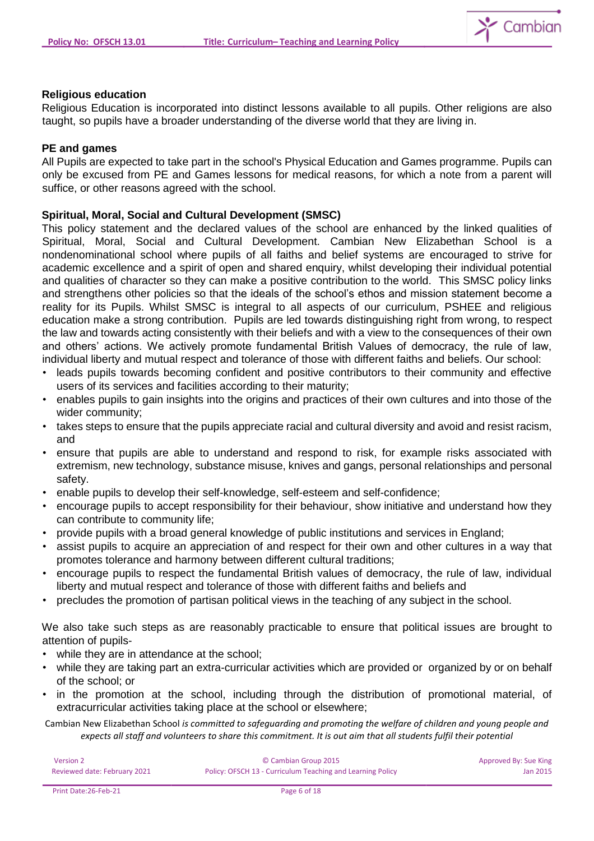

### **Religious education**

Religious Education is incorporated into distinct lessons available to all pupils. Other religions are also taught, so pupils have a broader understanding of the diverse world that they are living in.

### **PE and games**

All Pupils are expected to take part in the school's Physical Education and Games programme. Pupils can only be excused from PE and Games lessons for medical reasons, for which a note from a parent will suffice, or other reasons agreed with the school.

# **Spiritual, Moral, Social and Cultural Development (SMSC)**

This policy statement and the declared values of the school are enhanced by the linked qualities of Spiritual, Moral, Social and Cultural Development. Cambian New Elizabethan School is a nondenominational school where pupils of all faiths and belief systems are encouraged to strive for academic excellence and a spirit of open and shared enquiry, whilst developing their individual potential and qualities of character so they can make a positive contribution to the world. This SMSC policy links and strengthens other policies so that the ideals of the school's ethos and mission statement become a reality for its Pupils. Whilst SMSC is integral to all aspects of our curriculum, PSHEE and religious education make a strong contribution. Pupils are led towards distinguishing right from wrong, to respect the law and towards acting consistently with their beliefs and with a view to the consequences of their own and others' actions. We actively promote fundamental British Values of democracy, the rule of law, individual liberty and mutual respect and tolerance of those with different faiths and beliefs. Our school:

- leads pupils towards becoming confident and positive contributors to their community and effective users of its services and facilities according to their maturity;
- enables pupils to gain insights into the origins and practices of their own cultures and into those of the wider community;
- takes steps to ensure that the pupils appreciate racial and cultural diversity and avoid and resist racism, and
- ensure that pupils are able to understand and respond to risk, for example risks associated with extremism, new technology, substance misuse, knives and gangs, personal relationships and personal safety.
- enable pupils to develop their self-knowledge, self-esteem and self-confidence;
- encourage pupils to accept responsibility for their behaviour, show initiative and understand how they can contribute to community life;
- provide pupils with a broad general knowledge of public institutions and services in England;
- assist pupils to acquire an appreciation of and respect for their own and other cultures in a way that promotes tolerance and harmony between different cultural traditions;
- encourage pupils to respect the fundamental British values of democracy, the rule of law, individual liberty and mutual respect and tolerance of those with different faiths and beliefs and
- precludes the promotion of partisan political views in the teaching of any subject in the school.

We also take such steps as are reasonably practicable to ensure that political issues are brought to attention of pupils-

- while they are in attendance at the school;
- while they are taking part an extra-curricular activities which are provided or organized by or on behalf of the school; or
- in the promotion at the school, including through the distribution of promotional material, of extracurricular activities taking place at the school or elsewhere;

| Version 2                    | © Cambian Group 2015                                       | Approved By: Sue King |
|------------------------------|------------------------------------------------------------|-----------------------|
| Reviewed date: February 2021 | Policy: OFSCH 13 - Curriculum Teaching and Learning Policy | Jan 2015              |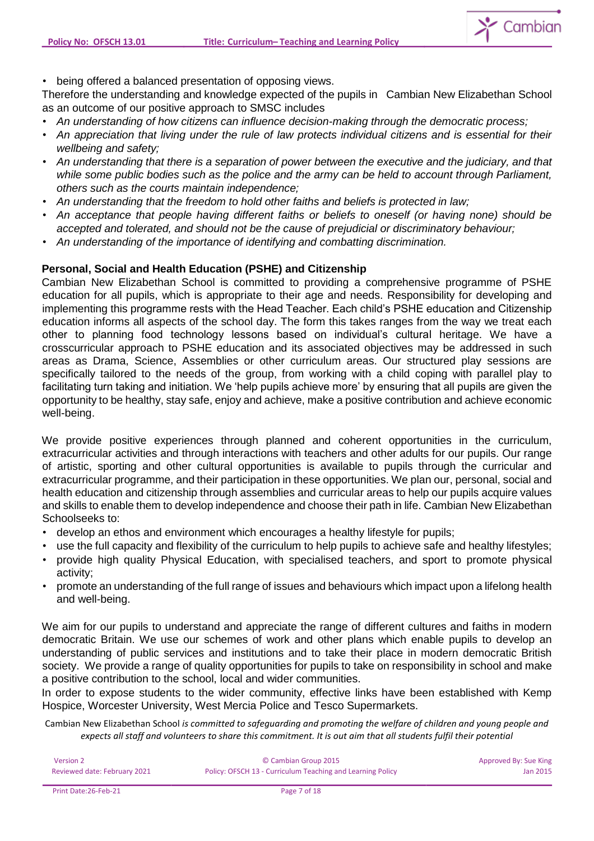

• being offered a balanced presentation of opposing views.

Therefore the understanding and knowledge expected of the pupils in Cambian New Elizabethan School as an outcome of our positive approach to SMSC includes

- *An understanding of how citizens can influence decision-making through the democratic process;*
- *An appreciation that living under the rule of law protects individual citizens and is essential for their wellbeing and safety;*
- *An understanding that there is a separation of power between the executive and the judiciary, and that while some public bodies such as the police and the army can be held to account through Parliament, others such as the courts maintain independence;*
- *An understanding that the freedom to hold other faiths and beliefs is protected in law;*
- *An acceptance that people having different faiths or beliefs to oneself (or having none) should be accepted and tolerated, and should not be the cause of prejudicial or discriminatory behaviour;*
- *An understanding of the importance of identifying and combatting discrimination.*

# **Personal, Social and Health Education (PSHE) and Citizenship**

Cambian New Elizabethan School is committed to providing a comprehensive programme of PSHE education for all pupils, which is appropriate to their age and needs. Responsibility for developing and implementing this programme rests with the Head Teacher. Each child's PSHE education and Citizenship education informs all aspects of the school day. The form this takes ranges from the way we treat each other to planning food technology lessons based on individual's cultural heritage. We have a crosscurricular approach to PSHE education and its associated objectives may be addressed in such areas as Drama, Science, Assemblies or other curriculum areas. Our structured play sessions are specifically tailored to the needs of the group, from working with a child coping with parallel play to facilitating turn taking and initiation. We 'help pupils achieve more' by ensuring that all pupils are given the opportunity to be healthy, stay safe, enjoy and achieve, make a positive contribution and achieve economic well-being.

We provide positive experiences through planned and coherent opportunities in the curriculum, extracurricular activities and through interactions with teachers and other adults for our pupils. Our range of artistic, sporting and other cultural opportunities is available to pupils through the curricular and extracurricular programme, and their participation in these opportunities. We plan our, personal, social and health education and citizenship through assemblies and curricular areas to help our pupils acquire values and skills to enable them to develop independence and choose their path in life. Cambian New Elizabethan Schoolseeks to:

- develop an ethos and environment which encourages a healthy lifestyle for pupils;
- use the full capacity and flexibility of the curriculum to help pupils to achieve safe and healthy lifestyles;
- provide high quality Physical Education, with specialised teachers, and sport to promote physical activity;
- promote an understanding of the full range of issues and behaviours which impact upon a lifelong health and well-being.

We aim for our pupils to understand and appreciate the range of different cultures and faiths in modern democratic Britain. We use our schemes of work and other plans which enable pupils to develop an understanding of public services and institutions and to take their place in modern democratic British society. We provide a range of quality opportunities for pupils to take on responsibility in school and make a positive contribution to the school, local and wider communities.

In order to expose students to the wider community, effective links have been established with Kemp Hospice, Worcester University, West Mercia Police and Tesco Supermarkets.

| Version 2                    | © Cambian Group 2015                                       | Approved By: Sue King |
|------------------------------|------------------------------------------------------------|-----------------------|
| Reviewed date: February 2021 | Policy: OFSCH 13 - Curriculum Teaching and Learning Policy | Jan 2015              |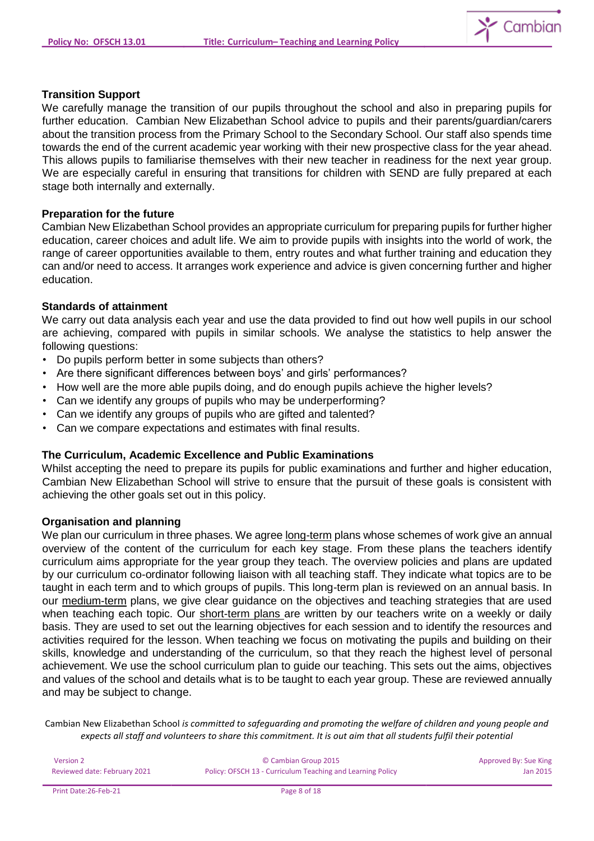

### **Transition Support**

We carefully manage the transition of our pupils throughout the school and also in preparing pupils for further education. Cambian New Elizabethan School advice to pupils and their parents/guardian/carers about the transition process from the Primary School to the Secondary School. Our staff also spends time towards the end of the current academic year working with their new prospective class for the year ahead. This allows pupils to familiarise themselves with their new teacher in readiness for the next year group. We are especially careful in ensuring that transitions for children with SEND are fully prepared at each stage both internally and externally.

### **Preparation for the future**

Cambian New Elizabethan School provides an appropriate curriculum for preparing pupils for further higher education, career choices and adult life. We aim to provide pupils with insights into the world of work, the range of career opportunities available to them, entry routes and what further training and education they can and/or need to access. It arranges work experience and advice is given concerning further and higher education.

### **Standards of attainment**

We carry out data analysis each year and use the data provided to find out how well pupils in our school are achieving, compared with pupils in similar schools. We analyse the statistics to help answer the following questions:

- Do pupils perform better in some subjects than others?
- Are there significant differences between boys' and girls' performances?
- How well are the more able pupils doing, and do enough pupils achieve the higher levels?
- Can we identify any groups of pupils who may be underperforming?
- Can we identify any groups of pupils who are gifted and talented?
- Can we compare expectations and estimates with final results.

### **The Curriculum, Academic Excellence and Public Examinations**

Whilst accepting the need to prepare its pupils for public examinations and further and higher education, Cambian New Elizabethan School will strive to ensure that the pursuit of these goals is consistent with achieving the other goals set out in this policy.

#### **Organisation and planning**

We plan our curriculum in three phases. We agree long-term plans whose schemes of work give an annual overview of the content of the curriculum for each key stage. From these plans the teachers identify curriculum aims appropriate for the year group they teach. The overview policies and plans are updated by our curriculum co-ordinator following liaison with all teaching staff. They indicate what topics are to be taught in each term and to which groups of pupils. This long-term plan is reviewed on an annual basis. In our medium-term plans, we give clear guidance on the objectives and teaching strategies that are used when teaching each topic. Our short-term plans are written by our teachers write on a weekly or daily basis. They are used to set out the learning objectives for each session and to identify the resources and activities required for the lesson. When teaching we focus on motivating the pupils and building on their skills, knowledge and understanding of the curriculum, so that they reach the highest level of personal achievement. We use the school curriculum plan to guide our teaching. This sets out the aims, objectives and values of the school and details what is to be taught to each year group. These are reviewed annually and may be subject to change.

| Version 2                    | © Cambian Group 2015                                       | Approved By: Sue King |
|------------------------------|------------------------------------------------------------|-----------------------|
| Reviewed date: February 2021 | Policy: OFSCH 13 - Curriculum Teaching and Learning Policy | Jan 2015              |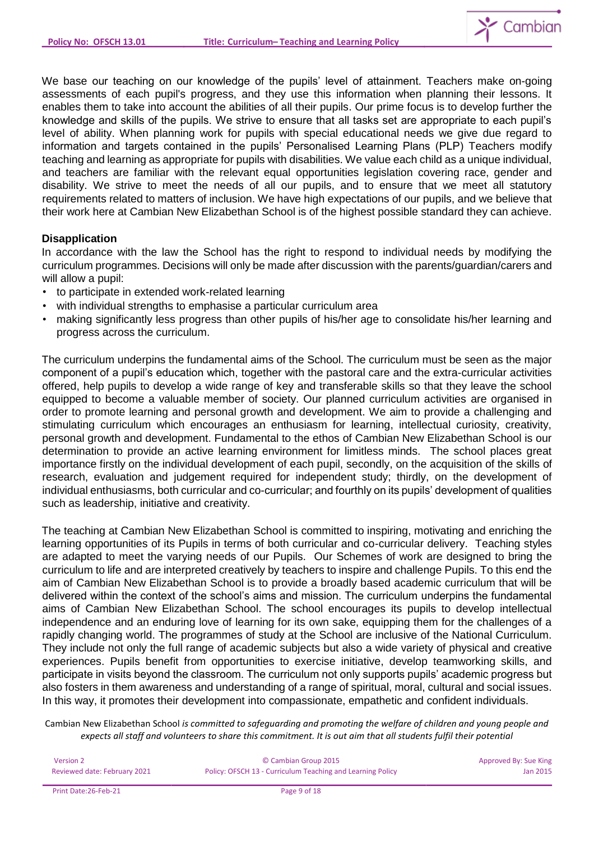

We base our teaching on our knowledge of the pupils' level of attainment. Teachers make on-going assessments of each pupil's progress, and they use this information when planning their lessons. It enables them to take into account the abilities of all their pupils. Our prime focus is to develop further the knowledge and skills of the pupils. We strive to ensure that all tasks set are appropriate to each pupil's level of ability. When planning work for pupils with special educational needs we give due regard to information and targets contained in the pupils' Personalised Learning Plans (PLP) Teachers modify teaching and learning as appropriate for pupils with disabilities. We value each child as a unique individual, and teachers are familiar with the relevant equal opportunities legislation covering race, gender and disability. We strive to meet the needs of all our pupils, and to ensure that we meet all statutory requirements related to matters of inclusion. We have high expectations of our pupils, and we believe that their work here at Cambian New Elizabethan School is of the highest possible standard they can achieve.

# **Disapplication**

In accordance with the law the School has the right to respond to individual needs by modifying the curriculum programmes. Decisions will only be made after discussion with the parents/guardian/carers and will allow a pupil:

- to participate in extended work-related learning
- with individual strengths to emphasise a particular curriculum area
- making significantly less progress than other pupils of his/her age to consolidate his/her learning and progress across the curriculum.

The curriculum underpins the fundamental aims of the School. The curriculum must be seen as the major component of a pupil's education which, together with the pastoral care and the extra-curricular activities offered, help pupils to develop a wide range of key and transferable skills so that they leave the school equipped to become a valuable member of society. Our planned curriculum activities are organised in order to promote learning and personal growth and development. We aim to provide a challenging and stimulating curriculum which encourages an enthusiasm for learning, intellectual curiosity, creativity, personal growth and development. Fundamental to the ethos of Cambian New Elizabethan School is our determination to provide an active learning environment for limitless minds. The school places great importance firstly on the individual development of each pupil, secondly, on the acquisition of the skills of research, evaluation and judgement required for independent study; thirdly, on the development of individual enthusiasms, both curricular and co-curricular; and fourthly on its pupils' development of qualities such as leadership, initiative and creativity.

The teaching at Cambian New Elizabethan School is committed to inspiring, motivating and enriching the learning opportunities of its Pupils in terms of both curricular and co-curricular delivery. Teaching styles are adapted to meet the varying needs of our Pupils. Our Schemes of work are designed to bring the curriculum to life and are interpreted creatively by teachers to inspire and challenge Pupils. To this end the aim of Cambian New Elizabethan School is to provide a broadly based academic curriculum that will be delivered within the context of the school's aims and mission. The curriculum underpins the fundamental aims of Cambian New Elizabethan School. The school encourages its pupils to develop intellectual independence and an enduring love of learning for its own sake, equipping them for the challenges of a rapidly changing world. The programmes of study at the School are inclusive of the National Curriculum. They include not only the full range of academic subjects but also a wide variety of physical and creative experiences. Pupils benefit from opportunities to exercise initiative, develop teamworking skills, and participate in visits beyond the classroom. The curriculum not only supports pupils' academic progress but also fosters in them awareness and understanding of a range of spiritual, moral, cultural and social issues. In this way, it promotes their development into compassionate, empathetic and confident individuals.

| Version 2                    | © Cambian Group 2015                                       | Approved By: Sue King |
|------------------------------|------------------------------------------------------------|-----------------------|
| Reviewed date: February 2021 | Policy: OFSCH 13 - Curriculum Teaching and Learning Policy | Jan 2015              |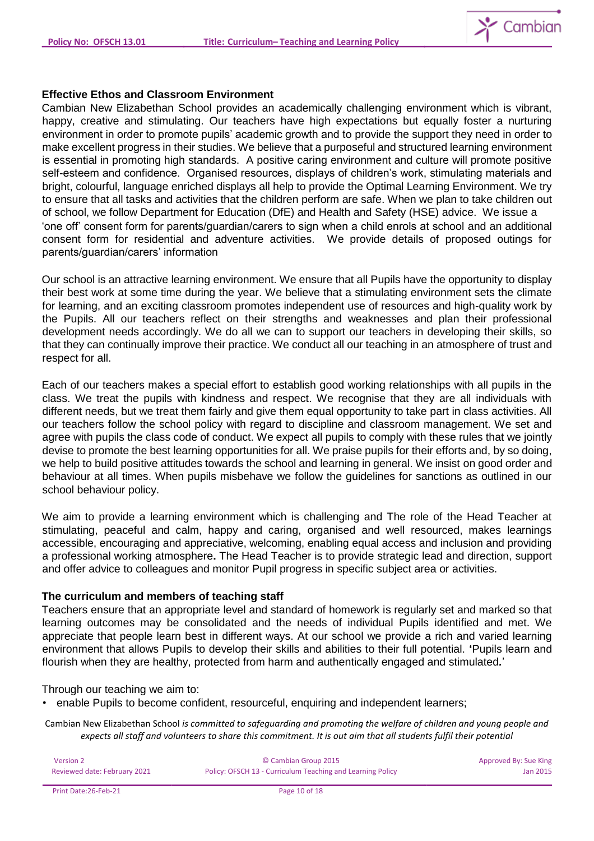

#### **Effective Ethos and Classroom Environment**

Cambian New Elizabethan School provides an academically challenging environment which is vibrant, happy, creative and stimulating. Our teachers have high expectations but equally foster a nurturing environment in order to promote pupils' academic growth and to provide the support they need in order to make excellent progress in their studies. We believe that a purposeful and structured learning environment is essential in promoting high standards. A positive caring environment and culture will promote positive self-esteem and confidence. Organised resources, displays of children's work, stimulating materials and bright, colourful, language enriched displays all help to provide the Optimal Learning Environment. We try to ensure that all tasks and activities that the children perform are safe. When we plan to take children out of school, we follow Department for Education (DfE) and Health and Safety (HSE) advice. We issue a 'one off' consent form for parents/guardian/carers to sign when a child enrols at school and an additional consent form for residential and adventure activities. We provide details of proposed outings for parents/guardian/carers' information

Our school is an attractive learning environment. We ensure that all Pupils have the opportunity to display their best work at some time during the year. We believe that a stimulating environment sets the climate for learning, and an exciting classroom promotes independent use of resources and high-quality work by the Pupils. All our teachers reflect on their strengths and weaknesses and plan their professional development needs accordingly. We do all we can to support our teachers in developing their skills, so that they can continually improve their practice. We conduct all our teaching in an atmosphere of trust and respect for all.

Each of our teachers makes a special effort to establish good working relationships with all pupils in the class. We treat the pupils with kindness and respect. We recognise that they are all individuals with different needs, but we treat them fairly and give them equal opportunity to take part in class activities. All our teachers follow the school policy with regard to discipline and classroom management. We set and agree with pupils the class code of conduct. We expect all pupils to comply with these rules that we jointly devise to promote the best learning opportunities for all. We praise pupils for their efforts and, by so doing, we help to build positive attitudes towards the school and learning in general. We insist on good order and behaviour at all times. When pupils misbehave we follow the guidelines for sanctions as outlined in our school behaviour policy.

We aim to provide a learning environment which is challenging and The role of the Head Teacher at stimulating, peaceful and calm, happy and caring, organised and well resourced, makes learnings accessible, encouraging and appreciative, welcoming, enabling equal access and inclusion and providing a professional working atmosphere**.** The Head Teacher is to provide strategic lead and direction, support and offer advice to colleagues and monitor Pupil progress in specific subject area or activities.

### **The curriculum and members of teaching staff**

Teachers ensure that an appropriate level and standard of homework is regularly set and marked so that learning outcomes may be consolidated and the needs of individual Pupils identified and met. We appreciate that people learn best in different ways. At our school we provide a rich and varied learning environment that allows Pupils to develop their skills and abilities to their full potential. **'**Pupils learn and flourish when they are healthy, protected from harm and authentically engaged and stimulated*.*'

Through our teaching we aim to:

• enable Pupils to become confident, resourceful, enquiring and independent learners;

| <b>Version 2</b>             | © Cambian Group 2015                                       | Approved By: Sue King |
|------------------------------|------------------------------------------------------------|-----------------------|
| Reviewed date: February 2021 | Policy: OFSCH 13 - Curriculum Teaching and Learning Policy | Jan 2015              |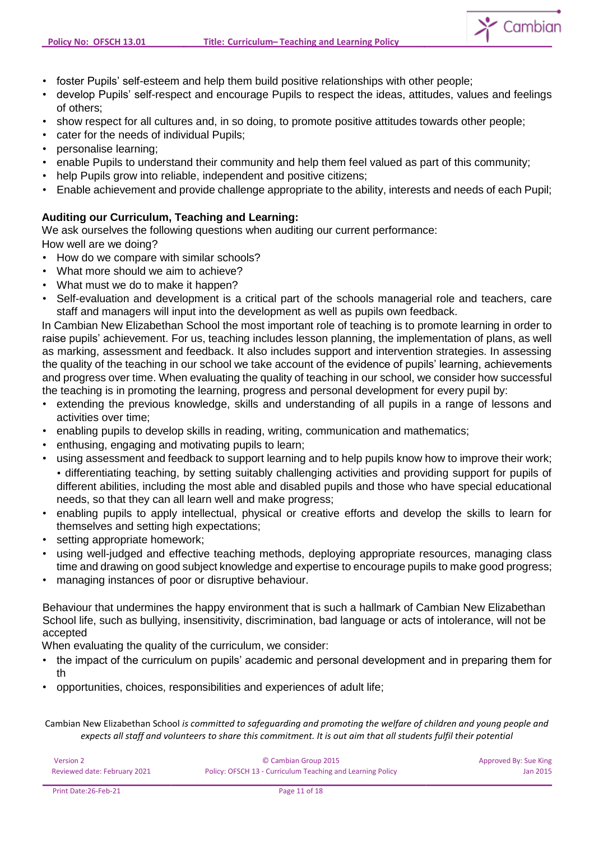

- foster Pupils' self-esteem and help them build positive relationships with other people;
- develop Pupils' self-respect and encourage Pupils to respect the ideas, attitudes, values and feelings of others;
- show respect for all cultures and, in so doing, to promote positive attitudes towards other people;
- cater for the needs of individual Pupils;
- personalise learning;
- enable Pupils to understand their community and help them feel valued as part of this community;
- help Pupils grow into reliable, independent and positive citizens;
- Enable achievement and provide challenge appropriate to the ability, interests and needs of each Pupil;

# **Auditing our Curriculum, Teaching and Learning:**

We ask ourselves the following questions when auditing our current performance:

How well are we doing?

- How do we compare with similar schools?
- What more should we aim to achieve?
- What must we do to make it happen?
- Self-evaluation and development is a critical part of the schools managerial role and teachers, care staff and managers will input into the development as well as pupils own feedback.

In Cambian New Elizabethan School the most important role of teaching is to promote learning in order to raise pupils' achievement. For us, teaching includes lesson planning, the implementation of plans, as well as marking, assessment and feedback. It also includes support and intervention strategies. In assessing the quality of the teaching in our school we take account of the evidence of pupils' learning, achievements and progress over time. When evaluating the quality of teaching in our school, we consider how successful the teaching is in promoting the learning, progress and personal development for every pupil by:

- extending the previous knowledge, skills and understanding of all pupils in a range of lessons and activities over time;
- enabling pupils to develop skills in reading, writing, communication and mathematics;
- enthusing, engaging and motivating pupils to learn;
- using assessment and feedback to support learning and to help pupils know how to improve their work; • differentiating teaching, by setting suitably challenging activities and providing support for pupils of different abilities, including the most able and disabled pupils and those who have special educational needs, so that they can all learn well and make progress;
- enabling pupils to apply intellectual, physical or creative efforts and develop the skills to learn for themselves and setting high expectations;
- setting appropriate homework;
- using well-judged and effective teaching methods, deploying appropriate resources, managing class time and drawing on good subject knowledge and expertise to encourage pupils to make good progress;
- managing instances of poor or disruptive behaviour.

Behaviour that undermines the happy environment that is such a hallmark of Cambian New Elizabethan School life, such as bullying, insensitivity, discrimination, bad language or acts of intolerance, will not be accepted

When evaluating the quality of the curriculum, we consider:

- the impact of the curriculum on pupils' academic and personal development and in preparing them for th
- opportunities, choices, responsibilities and experiences of adult life;

| Version 2                    | © Cambian Group 2015                                       | Approved By: Sue King |
|------------------------------|------------------------------------------------------------|-----------------------|
| Reviewed date: February 2021 | Policy: OFSCH 13 - Curriculum Teaching and Learning Policy | Jan 2015              |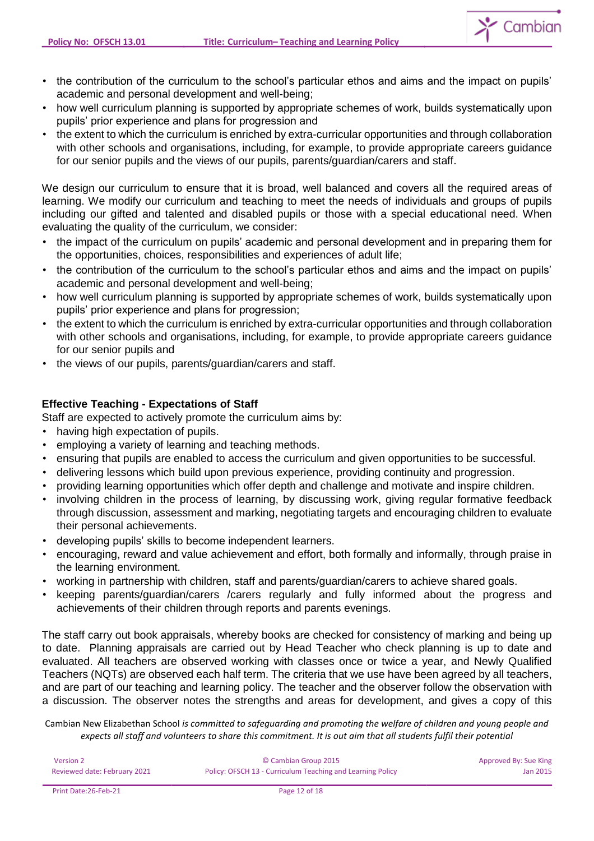

- the contribution of the curriculum to the school's particular ethos and aims and the impact on pupils' academic and personal development and well-being;
- how well curriculum planning is supported by appropriate schemes of work, builds systematically upon pupils' prior experience and plans for progression and
- the extent to which the curriculum is enriched by extra-curricular opportunities and through collaboration with other schools and organisations, including, for example, to provide appropriate careers guidance for our senior pupils and the views of our pupils, parents/guardian/carers and staff.

We design our curriculum to ensure that it is broad, well balanced and covers all the required areas of learning. We modify our curriculum and teaching to meet the needs of individuals and groups of pupils including our gifted and talented and disabled pupils or those with a special educational need. When evaluating the quality of the curriculum, we consider:

- the impact of the curriculum on pupils' academic and personal development and in preparing them for the opportunities, choices, responsibilities and experiences of adult life;
- the contribution of the curriculum to the school's particular ethos and aims and the impact on pupils' academic and personal development and well-being;
- how well curriculum planning is supported by appropriate schemes of work, builds systematically upon pupils' prior experience and plans for progression;
- the extent to which the curriculum is enriched by extra-curricular opportunities and through collaboration with other schools and organisations, including, for example, to provide appropriate careers guidance for our senior pupils and
- the views of our pupils, parents/guardian/carers and staff.

# **Effective Teaching - Expectations of Staff**

Staff are expected to actively promote the curriculum aims by:

- having high expectation of pupils.
- employing a variety of learning and teaching methods.
- ensuring that pupils are enabled to access the curriculum and given opportunities to be successful.
- delivering lessons which build upon previous experience, providing continuity and progression.
- providing learning opportunities which offer depth and challenge and motivate and inspire children.
- involving children in the process of learning, by discussing work, giving regular formative feedback through discussion, assessment and marking, negotiating targets and encouraging children to evaluate their personal achievements.
- developing pupils' skills to become independent learners.
- encouraging, reward and value achievement and effort, both formally and informally, through praise in the learning environment.
- working in partnership with children, staff and parents/guardian/carers to achieve shared goals.
- keeping parents/guardian/carers /carers regularly and fully informed about the progress and achievements of their children through reports and parents evenings.

The staff carry out book appraisals, whereby books are checked for consistency of marking and being up to date. Planning appraisals are carried out by Head Teacher who check planning is up to date and evaluated. All teachers are observed working with classes once or twice a year, and Newly Qualified Teachers (NQTs) are observed each half term. The criteria that we use have been agreed by all teachers, and are part of our teaching and learning policy. The teacher and the observer follow the observation with a discussion. The observer notes the strengths and areas for development, and gives a copy of this

| Version 2                    | © Cambian Group 2015                                       | Approved By: Sue King |
|------------------------------|------------------------------------------------------------|-----------------------|
| Reviewed date: February 2021 | Policy: OFSCH 13 - Curriculum Teaching and Learning Policy | Jan 2015              |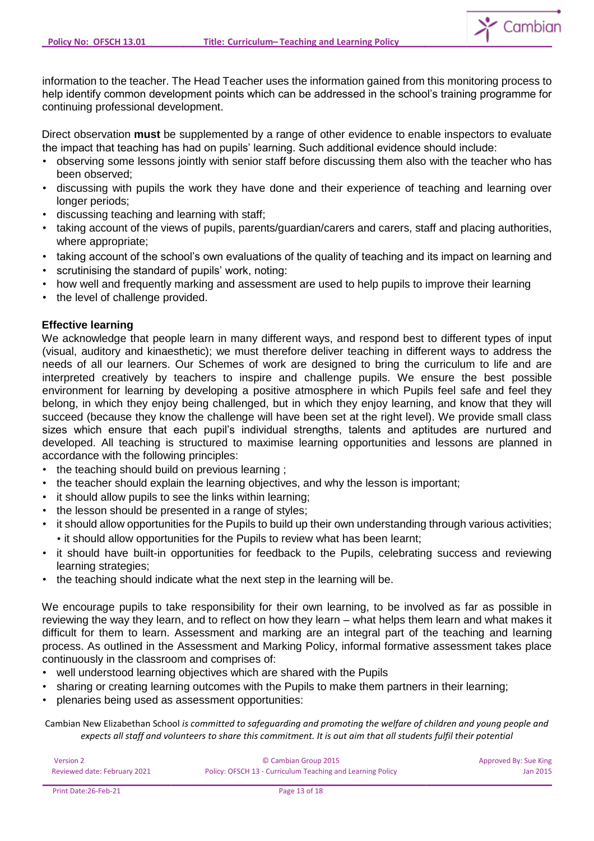

information to the teacher. The Head Teacher uses the information gained from this monitoring process to help identify common development points which can be addressed in the school's training programme for continuing professional development.

Direct observation **must** be supplemented by a range of other evidence to enable inspectors to evaluate the impact that teaching has had on pupils' learning. Such additional evidence should include:

- observing some lessons jointly with senior staff before discussing them also with the teacher who has been observed;
- discussing with pupils the work they have done and their experience of teaching and learning over longer periods;
- discussing teaching and learning with staff;
- taking account of the views of pupils, parents/guardian/carers and carers, staff and placing authorities, where appropriate;
- taking account of the school's own evaluations of the quality of teaching and its impact on learning and
- scrutinising the standard of pupils' work, noting:
- how well and frequently marking and assessment are used to help pupils to improve their learning
- the level of challenge provided.

# **Effective learning**

We acknowledge that people learn in many different ways, and respond best to different types of input (visual, auditory and kinaesthetic); we must therefore deliver teaching in different ways to address the needs of all our learners. Our Schemes of work are designed to bring the curriculum to life and are interpreted creatively by teachers to inspire and challenge pupils. We ensure the best possible environment for learning by developing a positive atmosphere in which Pupils feel safe and feel they belong, in which they enjoy being challenged, but in which they enjoy learning, and know that they will succeed (because they know the challenge will have been set at the right level). We provide small class sizes which ensure that each pupil's individual strengths, talents and aptitudes are nurtured and developed. All teaching is structured to maximise learning opportunities and lessons are planned in accordance with the following principles:

- the teaching should build on previous learning ;
- the teacher should explain the learning objectives, and why the lesson is important;
- it should allow pupils to see the links within learning;
- the lesson should be presented in a range of styles;
- it should allow opportunities for the Pupils to build up their own understanding through various activities; • it should allow opportunities for the Pupils to review what has been learnt;
- it should have built-in opportunities for feedback to the Pupils, celebrating success and reviewing learning strategies;
- the teaching should indicate what the next step in the learning will be.

We encourage pupils to take responsibility for their own learning, to be involved as far as possible in reviewing the way they learn, and to reflect on how they learn – what helps them learn and what makes it difficult for them to learn. Assessment and marking are an integral part of the teaching and learning process. As outlined in the Assessment and Marking Policy, informal formative assessment takes place continuously in the classroom and comprises of:

- well understood learning objectives which are shared with the Pupils
- sharing or creating learning outcomes with the Pupils to make them partners in their learning;
- plenaries being used as assessment opportunities:

| Version 2                    | © Cambian Group 2015                                       | Approved By: Sue King |
|------------------------------|------------------------------------------------------------|-----------------------|
| Reviewed date: February 2021 | Policy: OFSCH 13 - Curriculum Teaching and Learning Policy | Jan 2015              |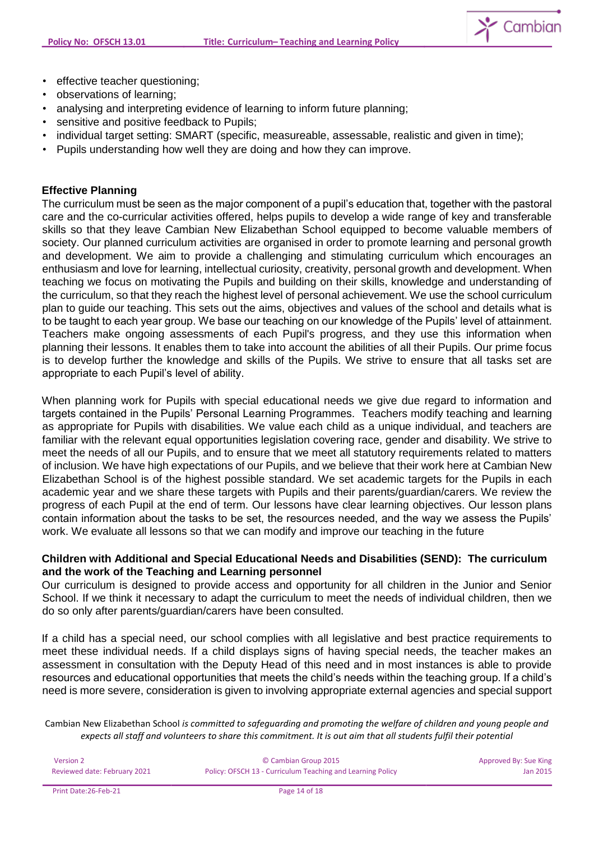

- effective teacher questioning;
- observations of learning;
- analysing and interpreting evidence of learning to inform future planning;
- sensitive and positive feedback to Pupils;
- individual target setting: SMART (specific, measureable, assessable, realistic and given in time);
- Pupils understanding how well they are doing and how they can improve.

### **Effective Planning**

The curriculum must be seen as the major component of a pupil's education that, together with the pastoral care and the co-curricular activities offered, helps pupils to develop a wide range of key and transferable skills so that they leave Cambian New Elizabethan School equipped to become valuable members of society. Our planned curriculum activities are organised in order to promote learning and personal growth and development. We aim to provide a challenging and stimulating curriculum which encourages an enthusiasm and love for learning, intellectual curiosity, creativity, personal growth and development. When teaching we focus on motivating the Pupils and building on their skills, knowledge and understanding of the curriculum, so that they reach the highest level of personal achievement. We use the school curriculum plan to guide our teaching. This sets out the aims, objectives and values of the school and details what is to be taught to each year group. We base our teaching on our knowledge of the Pupils' level of attainment. Teachers make ongoing assessments of each Pupil's progress, and they use this information when planning their lessons. It enables them to take into account the abilities of all their Pupils. Our prime focus is to develop further the knowledge and skills of the Pupils. We strive to ensure that all tasks set are appropriate to each Pupil's level of ability.

When planning work for Pupils with special educational needs we give due regard to information and targets contained in the Pupils' Personal Learning Programmes. Teachers modify teaching and learning as appropriate for Pupils with disabilities. We value each child as a unique individual, and teachers are familiar with the relevant equal opportunities legislation covering race, gender and disability. We strive to meet the needs of all our Pupils, and to ensure that we meet all statutory requirements related to matters of inclusion. We have high expectations of our Pupils, and we believe that their work here at Cambian New Elizabethan School is of the highest possible standard. We set academic targets for the Pupils in each academic year and we share these targets with Pupils and their parents/guardian/carers. We review the progress of each Pupil at the end of term. Our lessons have clear learning objectives. Our lesson plans contain information about the tasks to be set, the resources needed, and the way we assess the Pupils' work. We evaluate all lessons so that we can modify and improve our teaching in the future

# **Children with Additional and Special Educational Needs and Disabilities (SEND): The curriculum and the work of the Teaching and Learning personnel**

Our curriculum is designed to provide access and opportunity for all children in the Junior and Senior School. If we think it necessary to adapt the curriculum to meet the needs of individual children, then we do so only after parents/guardian/carers have been consulted.

If a child has a special need, our school complies with all legislative and best practice requirements to meet these individual needs. If a child displays signs of having special needs, the teacher makes an assessment in consultation with the Deputy Head of this need and in most instances is able to provide resources and educational opportunities that meets the child's needs within the teaching group. If a child's need is more severe, consideration is given to involving appropriate external agencies and special support

| <b>Version 2</b>             | © Cambian Group 2015                                       | Approved By: Sue King |
|------------------------------|------------------------------------------------------------|-----------------------|
| Reviewed date: February 2021 | Policy: OFSCH 13 - Curriculum Teaching and Learning Policy | Jan 2015              |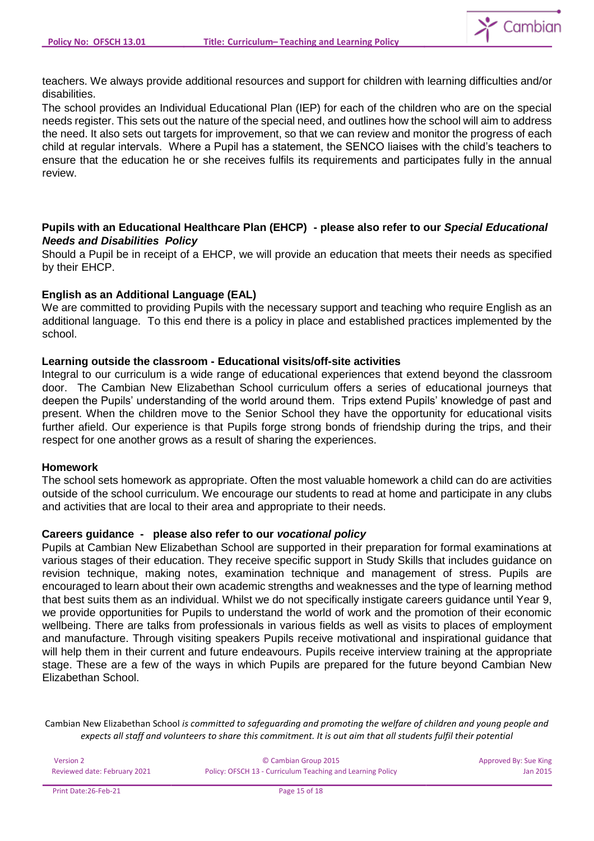

teachers. We always provide additional resources and support for children with learning difficulties and/or disabilities.

The school provides an Individual Educational Plan (IEP) for each of the children who are on the special needs register. This sets out the nature of the special need, and outlines how the school will aim to address the need. It also sets out targets for improvement, so that we can review and monitor the progress of each child at regular intervals. Where a Pupil has a statement, the SENCO liaises with the child's teachers to ensure that the education he or she receives fulfils its requirements and participates fully in the annual review.

# **Pupils with an Educational Healthcare Plan (EHCP) - please also refer to our** *Special Educational Needs and Disabilities Policy*

Should a Pupil be in receipt of a EHCP, we will provide an education that meets their needs as specified by their EHCP.

### **English as an Additional Language (EAL)**

We are committed to providing Pupils with the necessary support and teaching who require English as an additional language. To this end there is a policy in place and established practices implemented by the school.

### **Learning outside the classroom - Educational visits/off-site activities**

Integral to our curriculum is a wide range of educational experiences that extend beyond the classroom door. The Cambian New Elizabethan School curriculum offers a series of educational journeys that deepen the Pupils' understanding of the world around them. Trips extend Pupils' knowledge of past and present. When the children move to the Senior School they have the opportunity for educational visits further afield. Our experience is that Pupils forge strong bonds of friendship during the trips, and their respect for one another grows as a result of sharing the experiences.

### **Homework**

The school sets homework as appropriate. Often the most valuable homework a child can do are activities outside of the school curriculum. We encourage our students to read at home and participate in any clubs and activities that are local to their area and appropriate to their needs.

### **Careers guidance - please also refer to our** *vocational policy*

Pupils at Cambian New Elizabethan School are supported in their preparation for formal examinations at various stages of their education. They receive specific support in Study Skills that includes guidance on revision technique, making notes, examination technique and management of stress. Pupils are encouraged to learn about their own academic strengths and weaknesses and the type of learning method that best suits them as an individual. Whilst we do not specifically instigate careers guidance until Year 9, we provide opportunities for Pupils to understand the world of work and the promotion of their economic wellbeing. There are talks from professionals in various fields as well as visits to places of employment and manufacture. Through visiting speakers Pupils receive motivational and inspirational guidance that will help them in their current and future endeavours. Pupils receive interview training at the appropriate stage. These are a few of the ways in which Pupils are prepared for the future beyond Cambian New Elizabethan School.

| Version 2                    | © Cambian Group 2015                                       | Approved By: Sue King |
|------------------------------|------------------------------------------------------------|-----------------------|
| Reviewed date: February 2021 | Policy: OFSCH 13 - Curriculum Teaching and Learning Policy | Jan 2015              |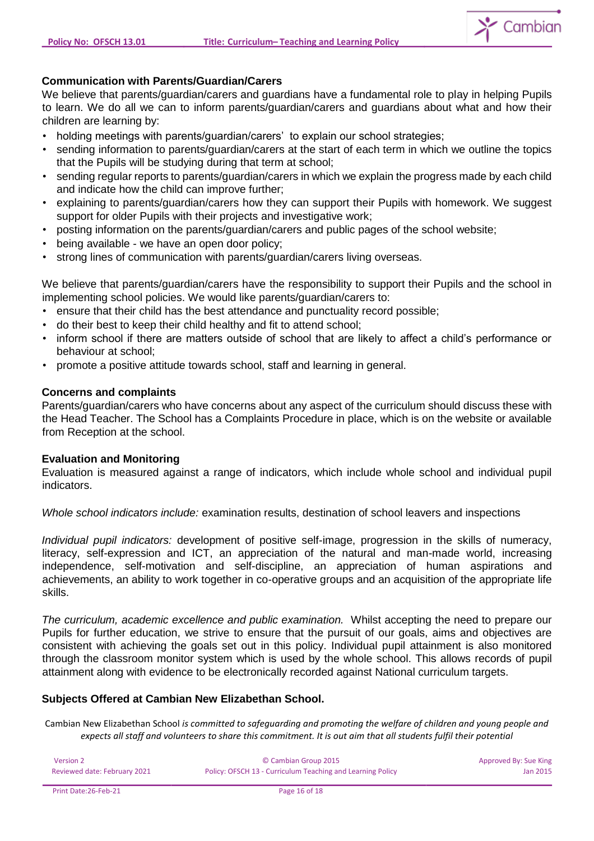

# **Communication with Parents/Guardian/Carers**

We believe that parents/guardian/carers and guardians have a fundamental role to play in helping Pupils to learn. We do all we can to inform parents/guardian/carers and guardians about what and how their children are learning by:

- holding meetings with parents/guardian/carers' to explain our school strategies;
- sending information to parents/guardian/carers at the start of each term in which we outline the topics that the Pupils will be studying during that term at school;
- sending regular reports to parents/guardian/carers in which we explain the progress made by each child and indicate how the child can improve further;
- explaining to parents/guardian/carers how they can support their Pupils with homework. We suggest support for older Pupils with their projects and investigative work;
- posting information on the parents/guardian/carers and public pages of the school website;
- being available we have an open door policy;
- strong lines of communication with parents/guardian/carers living overseas.

We believe that parents/quardian/carers have the responsibility to support their Pupils and the school in implementing school policies. We would like parents/guardian/carers to:

- ensure that their child has the best attendance and punctuality record possible;
- do their best to keep their child healthy and fit to attend school;
- inform school if there are matters outside of school that are likely to affect a child's performance or behaviour at school;
- promote a positive attitude towards school, staff and learning in general.

### **Concerns and complaints**

Parents/guardian/carers who have concerns about any aspect of the curriculum should discuss these with the Head Teacher. The School has a Complaints Procedure in place, which is on the website or available from Reception at the school.

### **Evaluation and Monitoring**

Evaluation is measured against a range of indicators, which include whole school and individual pupil indicators.

*Whole school indicators include:* examination results, destination of school leavers and inspections

*Individual pupil indicators:* development of positive self-image, progression in the skills of numeracy, literacy, self-expression and ICT, an appreciation of the natural and man-made world, increasing independence, self-motivation and self-discipline, an appreciation of human aspirations and achievements, an ability to work together in co-operative groups and an acquisition of the appropriate life skills.

*The curriculum, academic excellence and public examination.* Whilst accepting the need to prepare our Pupils for further education, we strive to ensure that the pursuit of our goals, aims and objectives are consistent with achieving the goals set out in this policy. Individual pupil attainment is also monitored through the classroom monitor system which is used by the whole school. This allows records of pupil attainment along with evidence to be electronically recorded against National curriculum targets.

### **Subjects Offered at Cambian New Elizabethan School.**

| Version 2                    | © Cambian Group 2015                                       | Approved By: Sue King |
|------------------------------|------------------------------------------------------------|-----------------------|
| Reviewed date: February 2021 | Policy: OFSCH 13 - Curriculum Teaching and Learning Policy | Jan 2015              |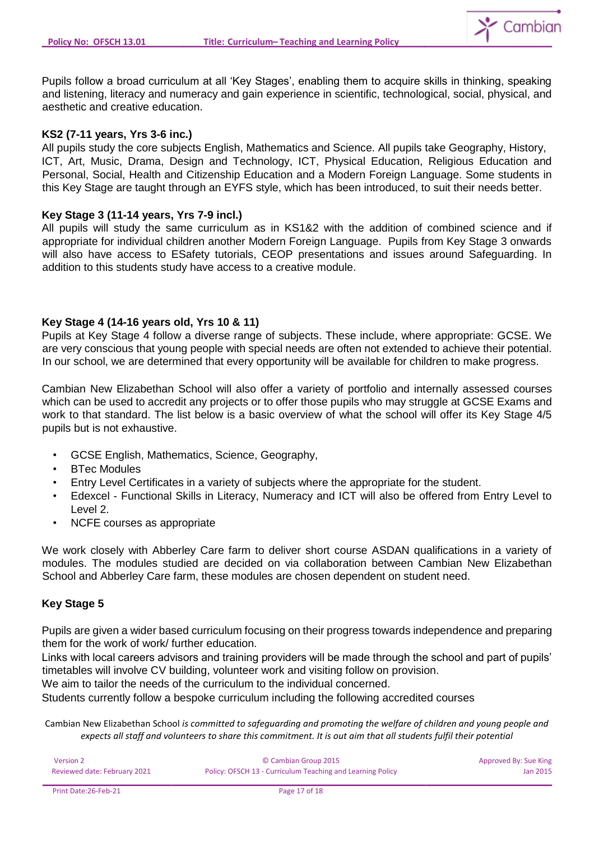

Pupils follow a broad curriculum at all 'Key Stages', enabling them to acquire skills in thinking, speaking and listening, literacy and numeracy and gain experience in scientific, technological, social, physical, and aesthetic and creative education.

### **KS2 (7-11 years, Yrs 3-6 inc.)**

All pupils study the core subjects English, Mathematics and Science. All pupils take Geography, History, ICT, Art, Music, Drama, Design and Technology, ICT, Physical Education, Religious Education and Personal, Social, Health and Citizenship Education and a Modern Foreign Language. Some students in this Key Stage are taught through an EYFS style, which has been introduced, to suit their needs better.

### **Key Stage 3 (11-14 years, Yrs 7-9 incl.)**

All pupils will study the same curriculum as in KS1&2 with the addition of combined science and if appropriate for individual children another Modern Foreign Language. Pupils from Key Stage 3 onwards will also have access to ESafety tutorials, CEOP presentations and issues around Safeguarding. In addition to this students study have access to a creative module.

# **Key Stage 4 (14-16 years old, Yrs 10 & 11)**

Pupils at Key Stage 4 follow a diverse range of subjects. These include, where appropriate: GCSE. We are very conscious that young people with special needs are often not extended to achieve their potential. In our school, we are determined that every opportunity will be available for children to make progress.

Cambian New Elizabethan School will also offer a variety of portfolio and internally assessed courses which can be used to accredit any projects or to offer those pupils who may struggle at GCSE Exams and work to that standard. The list below is a basic overview of what the school will offer its Key Stage 4/5 pupils but is not exhaustive.

- GCSE English, Mathematics, Science, Geography,
- BTec Modules
- Entry Level Certificates in a variety of subjects where the appropriate for the student.
- Edexcel Functional Skills in Literacy, Numeracy and ICT will also be offered from Entry Level to Level 2.
- NCFE courses as appropriate

We work closely with Abberley Care farm to deliver short course ASDAN qualifications in a variety of modules. The modules studied are decided on via collaboration between Cambian New Elizabethan School and Abberley Care farm, these modules are chosen dependent on student need.

### **Key Stage 5**

Pupils are given a wider based curriculum focusing on their progress towards independence and preparing them for the work of work/ further education.

Links with local careers advisors and training providers will be made through the school and part of pupils' timetables will involve CV building, volunteer work and visiting follow on provision.

We aim to tailor the needs of the curriculum to the individual concerned.

Students currently follow a bespoke curriculum including the following accredited courses

| Version 2                    | © Cambian Group 2015                                       | Approved By: Sue King |
|------------------------------|------------------------------------------------------------|-----------------------|
| Reviewed date: February 2021 | Policy: OFSCH 13 - Curriculum Teaching and Learning Policy | Jan 2015              |